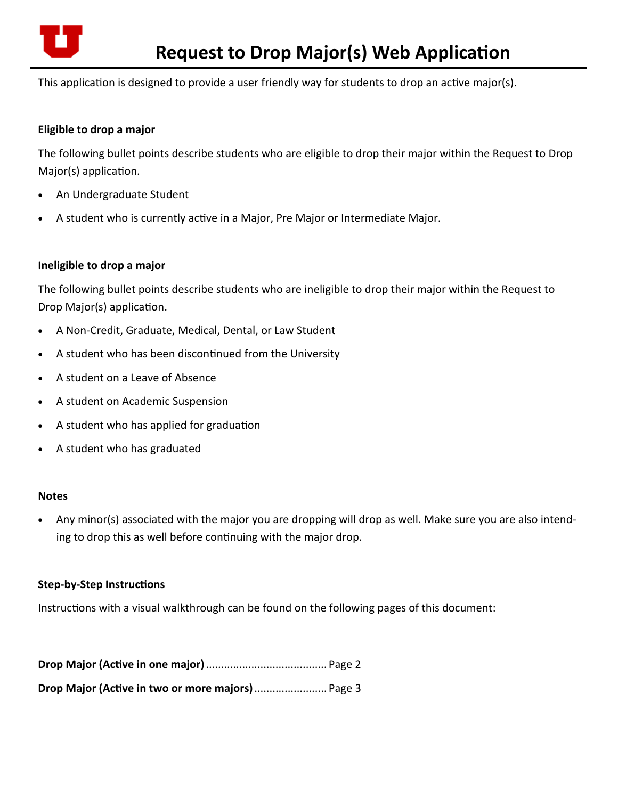

This application is designed to provide a user friendly way for students to drop an active major(s).

# **Eligible to drop a major**

The following bullet points describe students who are eligible to drop their major within the Request to Drop Major(s) application.

- An Undergraduate Student
- A student who is currently active in a Major, Pre Major or Intermediate Major.

# **Ineligible to drop a major**

The following bullet points describe students who are ineligible to drop their major within the Request to Drop Major(s) application.

- A Non‐Credit, Graduate, Medical, Dental, or Law Student
- A student who has been discontinued from the University
- A student on a Leave of Absence
- A student on Academic Suspension
- A student who has applied for graduation
- A student who has graduated

### **Notes**

 Any minor(s) associated with the major you are dropping will drop as well. Make sure you are also intend‐ ing to drop this as well before continuing with the major drop.

# **Step‐by‐Step InstrucƟons**

Instructions with a visual walkthrough can be found on the following pages of this document:

| Drop Major (Active in two or more majors)  Page 3 |  |
|---------------------------------------------------|--|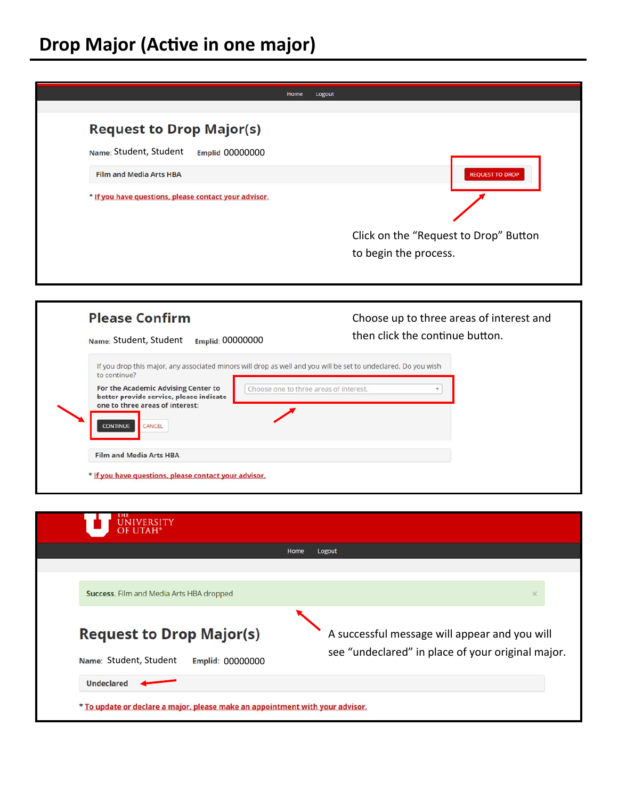

| <b>Please Confirm</b><br>Name: Student, Student<br>Emplid: 00000000                                                                            | Choose up to three areas of interest and<br>then click the continue button. |
|------------------------------------------------------------------------------------------------------------------------------------------------|-----------------------------------------------------------------------------|
| If you drop this major, any associated minors will drop as well and you will be set to undeclared. Do you wish<br>to continue?                 |                                                                             |
| For the Academic Advising Center to<br>better provide service, please indicate<br>one to three areas of interest:<br><b>CONTINUE</b><br>CANCEL | Choose one to three areas of interest.                                      |
|                                                                                                                                                |                                                                             |

| Home<br>Logout<br>Success. Film and Media Arts HBA dropped<br>$\times$<br><b>Request to Drop Major(s)</b><br>A successful message will appear and you will | <b>UNIVERSITY</b><br>OF UTAH <sup>®</sup>  |                                                   |
|------------------------------------------------------------------------------------------------------------------------------------------------------------|--------------------------------------------|---------------------------------------------------|
|                                                                                                                                                            |                                            |                                                   |
|                                                                                                                                                            |                                            |                                                   |
|                                                                                                                                                            |                                            |                                                   |
|                                                                                                                                                            | Name: Student, Student<br>Emplid: 00000000 | see "undeclared" in place of your original major. |